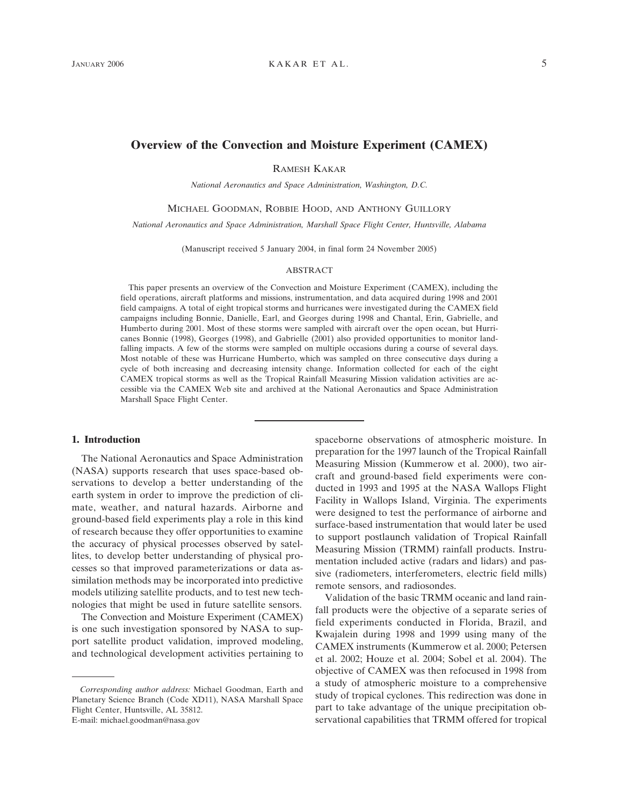# **Overview of the Convection and Moisture Experiment (CAMEX)**

RAMESH KAKAR

*National Aeronautics and Space Administration, Washington, D.C.*

#### MICHAEL GOODMAN, ROBBIE HOOD, AND ANTHONY GUILLORY

*National Aeronautics and Space Administration, Marshall Space Flight Center, Huntsville, Alabama*

(Manuscript received 5 January 2004, in final form 24 November 2005)

#### ABSTRACT

This paper presents an overview of the Convection and Moisture Experiment (CAMEX), including the field operations, aircraft platforms and missions, instrumentation, and data acquired during 1998 and 2001 field campaigns. A total of eight tropical storms and hurricanes were investigated during the CAMEX field campaigns including Bonnie, Danielle, Earl, and Georges during 1998 and Chantal, Erin, Gabrielle, and Humberto during 2001. Most of these storms were sampled with aircraft over the open ocean, but Hurricanes Bonnie (1998), Georges (1998), and Gabrielle (2001) also provided opportunities to monitor landfalling impacts. A few of the storms were sampled on multiple occasions during a course of several days. Most notable of these was Hurricane Humberto, which was sampled on three consecutive days during a cycle of both increasing and decreasing intensity change. Information collected for each of the eight CAMEX tropical storms as well as the Tropical Rainfall Measuring Mission validation activities are accessible via the CAMEX Web site and archived at the National Aeronautics and Space Administration Marshall Space Flight Center.

#### **1. Introduction**

The National Aeronautics and Space Administration (NASA) supports research that uses space-based observations to develop a better understanding of the earth system in order to improve the prediction of climate, weather, and natural hazards. Airborne and ground-based field experiments play a role in this kind of research because they offer opportunities to examine the accuracy of physical processes observed by satellites, to develop better understanding of physical processes so that improved parameterizations or data assimilation methods may be incorporated into predictive models utilizing satellite products, and to test new technologies that might be used in future satellite sensors.

The Convection and Moisture Experiment (CAMEX) is one such investigation sponsored by NASA to support satellite product validation, improved modeling, and technological development activities pertaining to

craft and ground-based field experiments were conducted in 1993 and 1995 at the NASA Wallops Flight Facility in Wallops Island, Virginia. The experiments were designed to test the performance of airborne and surface-based instrumentation that would later be used to support postlaunch validation of Tropical Rainfall Measuring Mission (TRMM) rainfall products. Instrumentation included active (radars and lidars) and passive (radiometers, interferometers, electric field mills) remote sensors, and radiosondes. Validation of the basic TRMM oceanic and land rain-

spaceborne observations of atmospheric moisture. In preparation for the 1997 launch of the Tropical Rainfall Measuring Mission (Kummerow et al. 2000), two air-

fall products were the objective of a separate series of field experiments conducted in Florida, Brazil, and Kwajalein during 1998 and 1999 using many of the CAMEX instruments (Kummerow et al. 2000; Petersen et al. 2002; Houze et al. 2004; Sobel et al. 2004). The objective of CAMEX was then refocused in 1998 from a study of atmospheric moisture to a comprehensive study of tropical cyclones. This redirection was done in part to take advantage of the unique precipitation observational capabilities that TRMM offered for tropical

*Corresponding author address:* Michael Goodman, Earth and Planetary Science Branch (Code XD11), NASA Marshall Space Flight Center, Huntsville, AL 35812. E-mail: michael.goodman@nasa.gov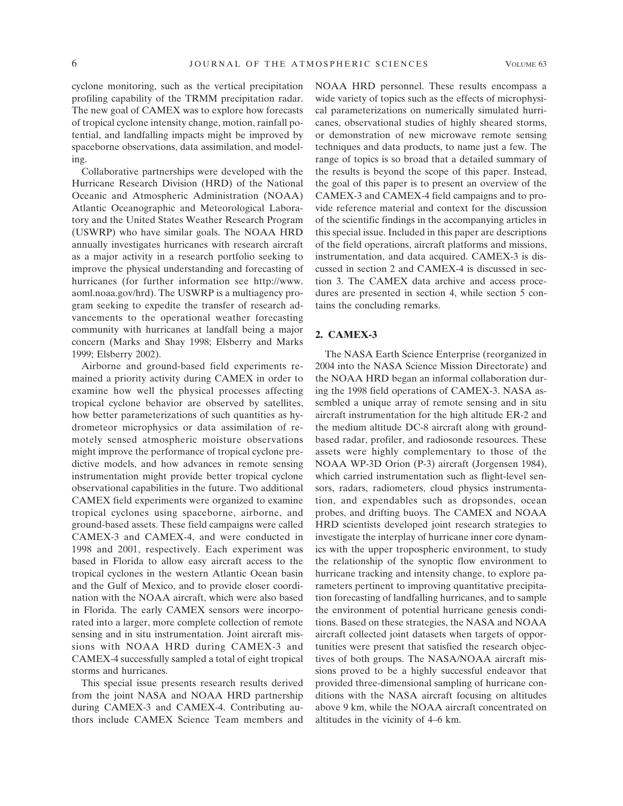cyclone monitoring, such as the vertical precipitation profiling capability of the TRMM precipitation radar. The new goal of CAMEX was to explore how forecasts of tropical cyclone intensity change, motion, rainfall potential, and landfalling impacts might be improved by spaceborne observations, data assimilation, and modeling.

Collaborative partnerships were developed with the Hurricane Research Division (HRD) of the National Oceanic and Atmospheric Administration (NOAA) Atlantic Oceanographic and Meteorological Laboratory and the United States Weather Research Program (USWRP) who have similar goals. The NOAA HRD annually investigates hurricanes with research aircraft as a major activity in a research portfolio seeking to improve the physical understanding and forecasting of hurricanes (for further information see http://www. aoml.noaa.gov/hrd). The USWRP is a multiagency program seeking to expedite the transfer of research advancements to the operational weather forecasting community with hurricanes at landfall being a major concern (Marks and Shay 1998; Elsberry and Marks 1999; Elsberry 2002).

Airborne and ground-based field experiments remained a priority activity during CAMEX in order to examine how well the physical processes affecting tropical cyclone behavior are observed by satellites, how better parameterizations of such quantities as hydrometeor microphysics or data assimilation of remotely sensed atmospheric moisture observations might improve the performance of tropical cyclone predictive models, and how advances in remote sensing instrumentation might provide better tropical cyclone observational capabilities in the future. Two additional CAMEX field experiments were organized to examine tropical cyclones using spaceborne, airborne, and ground-based assets. These field campaigns were called CAMEX-3 and CAMEX-4, and were conducted in 1998 and 2001, respectively. Each experiment was based in Florida to allow easy aircraft access to the tropical cyclones in the western Atlantic Ocean basin and the Gulf of Mexico, and to provide closer coordination with the NOAA aircraft, which were also based in Florida. The early CAMEX sensors were incorporated into a larger, more complete collection of remote sensing and in situ instrumentation. Joint aircraft missions with NOAA HRD during CAMEX-3 and CAMEX-4 successfully sampled a total of eight tropical storms and hurricanes.

This special issue presents research results derived from the joint NASA and NOAA HRD partnership during CAMEX-3 and CAMEX-4. Contributing authors include CAMEX Science Team members and

NOAA HRD personnel. These results encompass a wide variety of topics such as the effects of microphysical parameterizations on numerically simulated hurricanes, observational studies of highly sheared storms, or demonstration of new microwave remote sensing techniques and data products, to name just a few. The range of topics is so broad that a detailed summary of the results is beyond the scope of this paper. Instead, the goal of this paper is to present an overview of the CAMEX-3 and CAMEX-4 field campaigns and to provide reference material and context for the discussion of the scientific findings in the accompanying articles in this special issue. Included in this paper are descriptions of the field operations, aircraft platforms and missions, instrumentation, and data acquired. CAMEX-3 is discussed in section 2 and CAMEX-4 is discussed in section 3. The CAMEX data archive and access procedures are presented in section 4, while section 5 contains the concluding remarks.

## **2. CAMEX-3**

The NASA Earth Science Enterprise (reorganized in 2004 into the NASA Science Mission Directorate) and the NOAA HRD began an informal collaboration during the 1998 field operations of CAMEX-3. NASA assembled a unique array of remote sensing and in situ aircraft instrumentation for the high altitude ER-2 and the medium altitude DC-8 aircraft along with groundbased radar, profiler, and radiosonde resources. These assets were highly complementary to those of the NOAA WP-3D Orion (P-3) aircraft (Jorgensen 1984), which carried instrumentation such as flight-level sensors, radars, radiometers, cloud physics instrumentation, and expendables such as dropsondes, ocean probes, and drifting buoys. The CAMEX and NOAA HRD scientists developed joint research strategies to investigate the interplay of hurricane inner core dynamics with the upper tropospheric environment, to study the relationship of the synoptic flow environment to hurricane tracking and intensity change, to explore parameters pertinent to improving quantitative precipitation forecasting of landfalling hurricanes, and to sample the environment of potential hurricane genesis conditions. Based on these strategies, the NASA and NOAA aircraft collected joint datasets when targets of opportunities were present that satisfied the research objectives of both groups. The NASA/NOAA aircraft missions proved to be a highly successful endeavor that provided three-dimensional sampling of hurricane conditions with the NASA aircraft focusing on altitudes above 9 km, while the NOAA aircraft concentrated on altitudes in the vicinity of 4–6 km.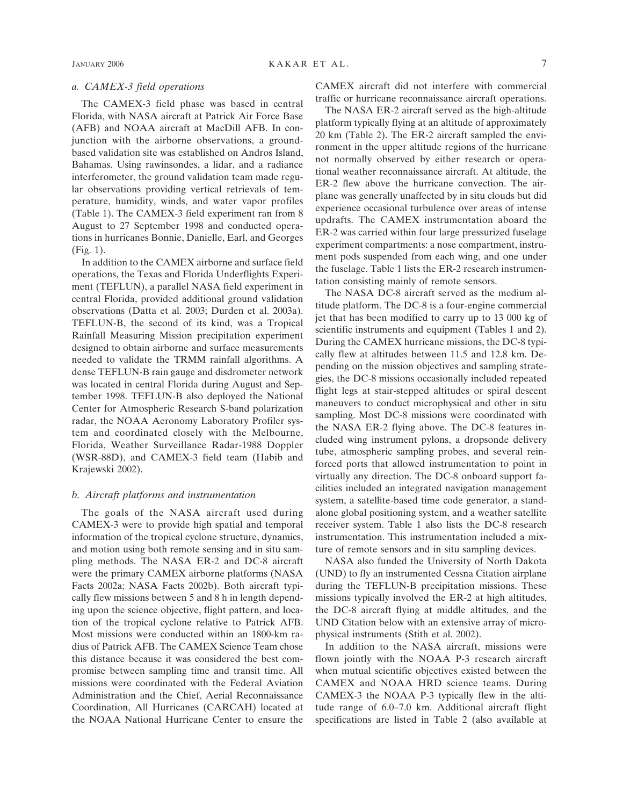The CAMEX-3 field phase was based in central Florida, with NASA aircraft at Patrick Air Force Base (AFB) and NOAA aircraft at MacDill AFB. In conjunction with the airborne observations, a groundbased validation site was established on Andros Island, Bahamas. Using rawinsondes, a lidar, and a radiance interferometer, the ground validation team made regular observations providing vertical retrievals of temperature, humidity, winds, and water vapor profiles (Table 1). The CAMEX-3 field experiment ran from 8 August to 27 September 1998 and conducted operations in hurricanes Bonnie, Danielle, Earl, and Georges (Fig. 1).

In addition to the CAMEX airborne and surface field operations, the Texas and Florida Underflights Experiment (TEFLUN), a parallel NASA field experiment in central Florida, provided additional ground validation observations (Datta et al. 2003; Durden et al. 2003a). TEFLUN-B, the second of its kind, was a Tropical Rainfall Measuring Mission precipitation experiment designed to obtain airborne and surface measurements needed to validate the TRMM rainfall algorithms. A dense TEFLUN-B rain gauge and disdrometer network was located in central Florida during August and September 1998. TEFLUN-B also deployed the National Center for Atmospheric Research S-band polarization radar, the NOAA Aeronomy Laboratory Profiler system and coordinated closely with the Melbourne, Florida, Weather Surveillance Radar-1988 Doppler (WSR-88D), and CAMEX-3 field team (Habib and Krajewski 2002).

#### *b. Aircraft platforms and instrumentation*

The goals of the NASA aircraft used during CAMEX-3 were to provide high spatial and temporal information of the tropical cyclone structure, dynamics, and motion using both remote sensing and in situ sampling methods. The NASA ER-2 and DC-8 aircraft were the primary CAMEX airborne platforms (NASA Facts 2002a; NASA Facts 2002b). Both aircraft typically flew missions between 5 and 8 h in length depending upon the science objective, flight pattern, and location of the tropical cyclone relative to Patrick AFB. Most missions were conducted within an 1800-km radius of Patrick AFB. The CAMEX Science Team chose this distance because it was considered the best compromise between sampling time and transit time. All missions were coordinated with the Federal Aviation Administration and the Chief, Aerial Reconnaissance Coordination, All Hurricanes (CARCAH) located at the NOAA National Hurricane Center to ensure the

CAMEX aircraft did not interfere with commercial traffic or hurricane reconnaissance aircraft operations.

The NASA ER-2 aircraft served as the high-altitude platform typically flying at an altitude of approximately 20 km (Table 2). The ER-2 aircraft sampled the environment in the upper altitude regions of the hurricane not normally observed by either research or operational weather reconnaissance aircraft. At altitude, the ER-2 flew above the hurricane convection. The airplane was generally unaffected by in situ clouds but did experience occasional turbulence over areas of intense updrafts. The CAMEX instrumentation aboard the ER-2 was carried within four large pressurized fuselage experiment compartments: a nose compartment, instrument pods suspended from each wing, and one under the fuselage. Table 1 lists the ER-2 research instrumentation consisting mainly of remote sensors.

The NASA DC-8 aircraft served as the medium altitude platform. The DC-8 is a four-engine commercial jet that has been modified to carry up to 13 000 kg of scientific instruments and equipment (Tables 1 and 2). During the CAMEX hurricane missions, the DC-8 typically flew at altitudes between 11.5 and 12.8 km. Depending on the mission objectives and sampling strategies, the DC-8 missions occasionally included repeated flight legs at stair-stepped altitudes or spiral descent maneuvers to conduct microphysical and other in situ sampling. Most DC-8 missions were coordinated with the NASA ER-2 flying above. The DC-8 features included wing instrument pylons, a dropsonde delivery tube, atmospheric sampling probes, and several reinforced ports that allowed instrumentation to point in virtually any direction. The DC-8 onboard support facilities included an integrated navigation management system, a satellite-based time code generator, a standalone global positioning system, and a weather satellite receiver system. Table 1 also lists the DC-8 research instrumentation. This instrumentation included a mixture of remote sensors and in situ sampling devices.

NASA also funded the University of North Dakota (UND) to fly an instrumented Cessna Citation airplane during the TEFLUN-B precipitation missions. These missions typically involved the ER-2 at high altitudes, the DC-8 aircraft flying at middle altitudes, and the UND Citation below with an extensive array of microphysical instruments (Stith et al. 2002).

In addition to the NASA aircraft, missions were flown jointly with the NOAA P-3 research aircraft when mutual scientific objectives existed between the CAMEX and NOAA HRD science teams. During CAMEX-3 the NOAA P-3 typically flew in the altitude range of 6.0–7.0 km. Additional aircraft flight specifications are listed in Table 2 (also available at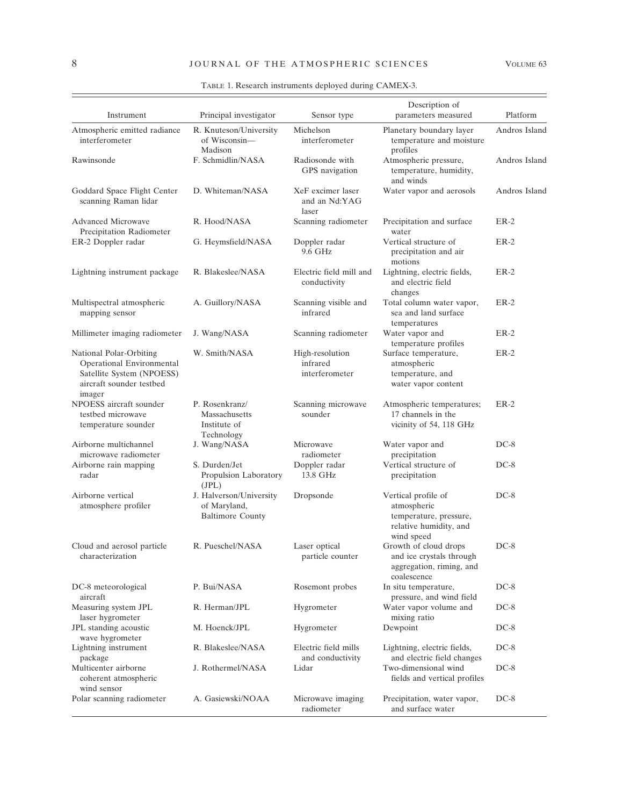| Instrument                                                                                                              | Principal investigator                                             | Sensor type                                   | Description of<br>parameters measured                                                                | Platform      |
|-------------------------------------------------------------------------------------------------------------------------|--------------------------------------------------------------------|-----------------------------------------------|------------------------------------------------------------------------------------------------------|---------------|
| Atmospheric emitted radiance<br>interferometer                                                                          | R. Knuteson/University<br>of Wisconsin-<br>Madison                 | Michelson<br>interferometer                   | Planetary boundary layer<br>temperature and moisture<br>profiles                                     | Andros Island |
| Rawinsonde                                                                                                              | F. Schmidlin/NASA                                                  | Radiosonde with<br>GPS navigation             | Atmospheric pressure,<br>temperature, humidity,<br>and winds                                         | Andros Island |
| Goddard Space Flight Center<br>scanning Raman lidar                                                                     | D. Whiteman/NASA                                                   | XeF excimer laser<br>and an Nd:YAG<br>laser   | Water vapor and aerosols                                                                             | Andros Island |
| <b>Advanced Microwave</b><br>Precipitation Radiometer                                                                   | R. Hood/NASA                                                       | Scanning radiometer                           | Precipitation and surface<br>water                                                                   | $ER-2$        |
| ER-2 Doppler radar                                                                                                      | G. Heymsfield/NASA                                                 | Doppler radar<br>9.6 GHz                      | Vertical structure of<br>precipitation and air<br>motions                                            | $ER-2$        |
| Lightning instrument package                                                                                            | R. Blakeslee/NASA                                                  | Electric field mill and<br>conductivity       | Lightning, electric fields,<br>and electric field<br>changes                                         | $ER-2$        |
| Multispectral atmospheric<br>mapping sensor                                                                             | A. Guillory/NASA                                                   | Scanning visible and<br>infrared              | Total column water vapor,<br>sea and land surface<br>temperatures                                    | $ER-2$        |
| Millimeter imaging radiometer                                                                                           | J. Wang/NASA                                                       | Scanning radiometer                           | Water vapor and<br>temperature profiles                                                              | $ER-2$        |
| National Polar-Orbiting<br>Operational Environmental<br>Satellite System (NPOESS)<br>aircraft sounder testbed<br>imager | W. Smith/NASA                                                      | High-resolution<br>infrared<br>interferometer | Surface temperature,<br>atmospheric<br>temperature, and<br>water vapor content                       | $ER-2$        |
| NPOESS aircraft sounder<br>testbed microwave<br>temperature sounder                                                     | P. Rosenkranz/<br>Massachusetts<br>Institute of<br>Technology      | Scanning microwave<br>sounder                 | Atmospheric temperatures;<br>17 channels in the<br>vicinity of 54, 118 GHz                           | $ER-2$        |
| Airborne multichannel<br>microwave radiometer                                                                           | J. Wang/NASA                                                       | Microwave<br>radiometer                       | Water vapor and<br>precipitation                                                                     | $DC-8$        |
| Airborne rain mapping<br>radar                                                                                          | S. Durden/Jet<br>Propulsion Laboratory<br>(JPL)                    | Doppler radar<br>13.8 GHz                     | Vertical structure of<br>precipitation                                                               | $DC-8$        |
| Airborne vertical<br>atmosphere profiler                                                                                | J. Halverson/University<br>of Maryland,<br><b>Baltimore County</b> | Dropsonde                                     | Vertical profile of<br>atmospheric<br>temperature, pressure,<br>relative humidity, and<br>wind speed | $DC-8$        |
| Cloud and aerosol particle<br>characterization                                                                          | R. Pueschel/NASA                                                   | Laser optical<br>particle counter             | Growth of cloud drops<br>and ice crystals through<br>aggregation, riming, and<br>coalescence         | $DC-8$        |
| DC-8 meteorological<br>aircraft                                                                                         | P. Bui/NASA                                                        | Rosemont probes                               | In situ temperature,<br>pressure, and wind field                                                     | $DC-8$        |
| Measuring system JPL<br>laser hygrometer                                                                                | R. Herman/JPL                                                      | Hygrometer                                    | Water vapor volume and<br>mixing ratio                                                               | $DC-8$        |
| JPL standing acoustic<br>wave hygrometer                                                                                | M. Hoenck/JPL                                                      | Hygrometer                                    | Dewpoint                                                                                             | $DC-8$        |
| Lightning instrument<br>package                                                                                         | R. Blakeslee/NASA                                                  | Electric field mills<br>and conductivity      | Lightning, electric fields,<br>and electric field changes                                            | $DC-8$        |
| Multicenter airborne<br>coherent atmospheric<br>wind sensor                                                             | J. Rothermel/NASA                                                  | Lidar                                         | Two-dimensional wind<br>fields and vertical profiles                                                 | $DC-8$        |
| Polar scanning radiometer                                                                                               | A. Gasiewski/NOAA                                                  | Microwave imaging<br>radiometer               | Precipitation, water vapor,<br>and surface water                                                     | $DC-8$        |

# TABLE 1. Research instruments deployed during CAMEX-3.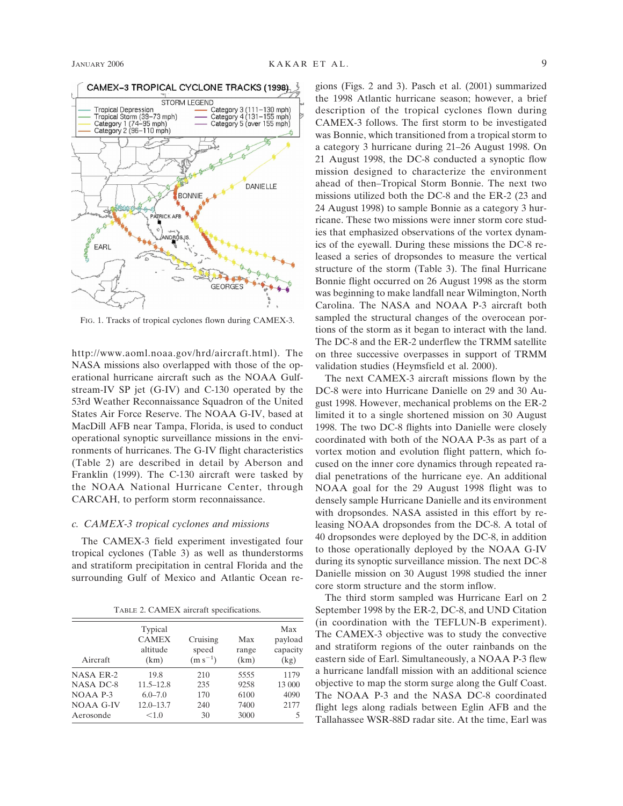

FIG. 1. Tracks of tropical cyclones flown during CAMEX-3.

http://www.aoml.noaa.gov/hrd/aircraft.html). The NASA missions also overlapped with those of the operational hurricane aircraft such as the NOAA Gulfstream-IV SP jet (G-IV) and C-130 operated by the 53rd Weather Reconnaissance Squadron of the United States Air Force Reserve. The NOAA G-IV, based at MacDill AFB near Tampa, Florida, is used to conduct operational synoptic surveillance missions in the environments of hurricanes. The G-IV flight characteristics (Table 2) are described in detail by Aberson and Franklin (1999). The C-130 aircraft were tasked by the NOAA National Hurricane Center, through CARCAH, to perform storm reconnaissance.

#### *c. CAMEX-3 tropical cyclones and missions*

The CAMEX-3 field experiment investigated four tropical cyclones (Table 3) as well as thunderstorms and stratiform precipitation in central Florida and the surrounding Gulf of Mexico and Atlantic Ocean re-

|  |  | TABLE 2. CAMEX aircraft specifications. |
|--|--|-----------------------------------------|
|--|--|-----------------------------------------|

| Aircraft         | Typical<br><b>CAMEX</b><br>altitude<br>(km) | Cruising<br>speed<br>$(m s^{-1})$ | Max<br>range<br>(km) | Max<br>payload<br>capacity<br>(kg) |
|------------------|---------------------------------------------|-----------------------------------|----------------------|------------------------------------|
| NASA ER-2        | 19.8                                        | 210                               | 5555                 | 1179                               |
| NASA DC-8        | $11.5 - 12.8$                               | 235                               | 9258                 | 13 000                             |
| $NOAA$ P-3       | $6.0 - 7.0$                                 | 170                               | 6100                 | 4090                               |
| <b>NOAA G-IV</b> | $12.0 - 13.7$                               | 240                               | 7400                 | 2177                               |
| Aerosonde        | < 1.0                                       | 30                                | 3000                 | 5                                  |

gions (Figs. 2 and 3). Pasch et al. (2001) summarized the 1998 Atlantic hurricane season; however, a brief description of the tropical cyclones flown during CAMEX-3 follows. The first storm to be investigated was Bonnie, which transitioned from a tropical storm to a category 3 hurricane during 21–26 August 1998. On 21 August 1998, the DC-8 conducted a synoptic flow mission designed to characterize the environment ahead of then–Tropical Storm Bonnie. The next two missions utilized both the DC-8 and the ER-2 (23 and 24 August 1998) to sample Bonnie as a category 3 hurricane. These two missions were inner storm core studies that emphasized observations of the vortex dynamics of the eyewall. During these missions the DC-8 released a series of dropsondes to measure the vertical structure of the storm (Table 3). The final Hurricane Bonnie flight occurred on 26 August 1998 as the storm was beginning to make landfall near Wilmington, North Carolina. The NASA and NOAA P-3 aircraft both sampled the structural changes of the overocean portions of the storm as it began to interact with the land. The DC-8 and the ER-2 underflew the TRMM satellite on three successive overpasses in support of TRMM validation studies (Heymsfield et al. 2000).

The next CAMEX-3 aircraft missions flown by the DC-8 were into Hurricane Danielle on 29 and 30 August 1998. However, mechanical problems on the ER-2 limited it to a single shortened mission on 30 August 1998. The two DC-8 flights into Danielle were closely coordinated with both of the NOAA P-3s as part of a vortex motion and evolution flight pattern, which focused on the inner core dynamics through repeated radial penetrations of the hurricane eye. An additional NOAA goal for the 29 August 1998 flight was to densely sample Hurricane Danielle and its environment with dropsondes. NASA assisted in this effort by releasing NOAA dropsondes from the DC-8. A total of 40 dropsondes were deployed by the DC-8, in addition to those operationally deployed by the NOAA G-IV during its synoptic surveillance mission. The next DC-8 Danielle mission on 30 August 1998 studied the inner core storm structure and the storm inflow.

The third storm sampled was Hurricane Earl on 2 September 1998 by the ER-2, DC-8, and UND Citation (in coordination with the TEFLUN-B experiment). The CAMEX-3 objective was to study the convective and stratiform regions of the outer rainbands on the eastern side of Earl. Simultaneously, a NOAA P-3 flew a hurricane landfall mission with an additional science objective to map the storm surge along the Gulf Coast. The NOAA P-3 and the NASA DC-8 coordinated flight legs along radials between Eglin AFB and the Tallahassee WSR-88D radar site. At the time, Earl was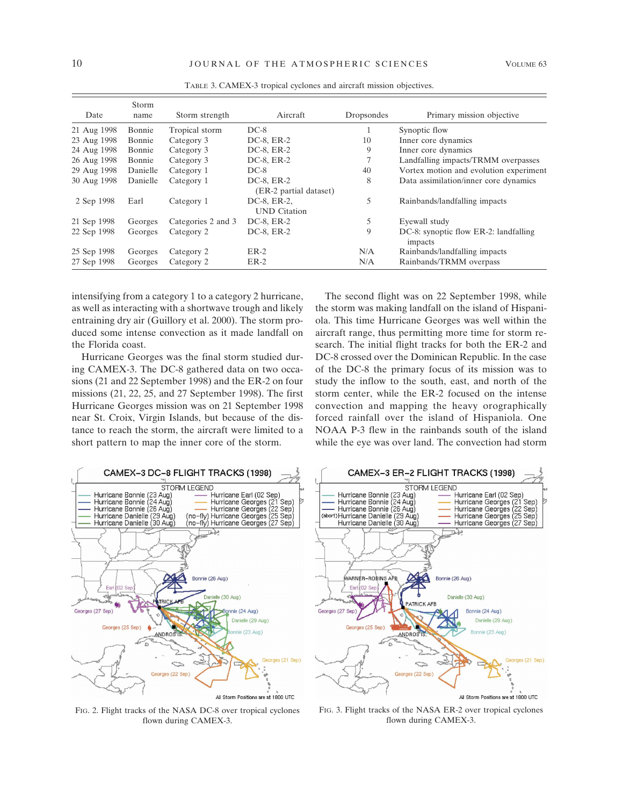| Date        | Storm<br>name | Storm strength     | Aircraft               | Dropsondes | Primary mission objective                        |
|-------------|---------------|--------------------|------------------------|------------|--------------------------------------------------|
| 21 Aug 1998 | Bonnie        | Tropical storm     | $DC-8$                 |            | Synoptic flow                                    |
| 23 Aug 1998 | Bonnie        | Category 3         | DC-8, ER-2             | 10         | Inner core dynamics                              |
| 24 Aug 1998 | Bonnie        | Category 3         | DC-8, ER-2             | 9          | Inner core dynamics                              |
| 26 Aug 1998 | Bonnie        | Category 3         | DC-8, ER-2             | 7          | Landfalling impacts/TRMM overpasses              |
| 29 Aug 1998 | Danielle      | Category 1         | $DC-8$                 | 40         | Vortex motion and evolution experiment           |
| 30 Aug 1998 | Danielle      | Category 1         | DC-8, ER-2             | 8          | Data assimilation/inner core dynamics            |
|             |               |                    | (ER-2 partial dataset) |            |                                                  |
| 2 Sep 1998  | Earl          | Category 1         | DC-8, ER-2,            | 5          | Rainbands/landfalling impacts                    |
|             |               |                    | <b>UND</b> Citation    |            |                                                  |
| 21 Sep 1998 | Georges       | Categories 2 and 3 | DC-8, ER-2             | 5          | Eyewall study                                    |
| 22 Sep 1998 | Georges       | Category 2         | DC-8, ER-2             | 9          | DC-8: synoptic flow ER-2: landfalling<br>impacts |
| 25 Sep 1998 | Georges       | Category 2         | $ER-2$                 | N/A        | Rainbands/landfalling impacts                    |
| 27 Sep 1998 | Georges       | Category 2         | $ER-2$                 | N/A        | Rainbands/TRMM overpass                          |

TABLE 3. CAMEX-3 tropical cyclones and aircraft mission objectives.

intensifying from a category 1 to a category 2 hurricane, as well as interacting with a shortwave trough and likely entraining dry air (Guillory et al. 2000). The storm produced some intense convection as it made landfall on the Florida coast.

Hurricane Georges was the final storm studied during CAMEX-3. The DC-8 gathered data on two occasions (21 and 22 September 1998) and the ER-2 on four missions (21, 22, 25, and 27 September 1998). The first Hurricane Georges mission was on 21 September 1998 near St. Croix, Virgin Islands, but because of the distance to reach the storm, the aircraft were limited to a short pattern to map the inner core of the storm.

The second flight was on 22 September 1998, while the storm was making landfall on the island of Hispaniola. This time Hurricane Georges was well within the aircraft range, thus permitting more time for storm research. The initial flight tracks for both the ER-2 and DC-8 crossed over the Dominican Republic. In the case of the DC-8 the primary focus of its mission was to study the inflow to the south, east, and north of the storm center, while the ER-2 focused on the intense convection and mapping the heavy orographically forced rainfall over the island of Hispaniola. One NOAA P-3 flew in the rainbands south of the island while the eye was over land. The convection had storm



FIG. 2. Flight tracks of the NASA DC-8 over tropical cyclones flown during CAMEX-3.

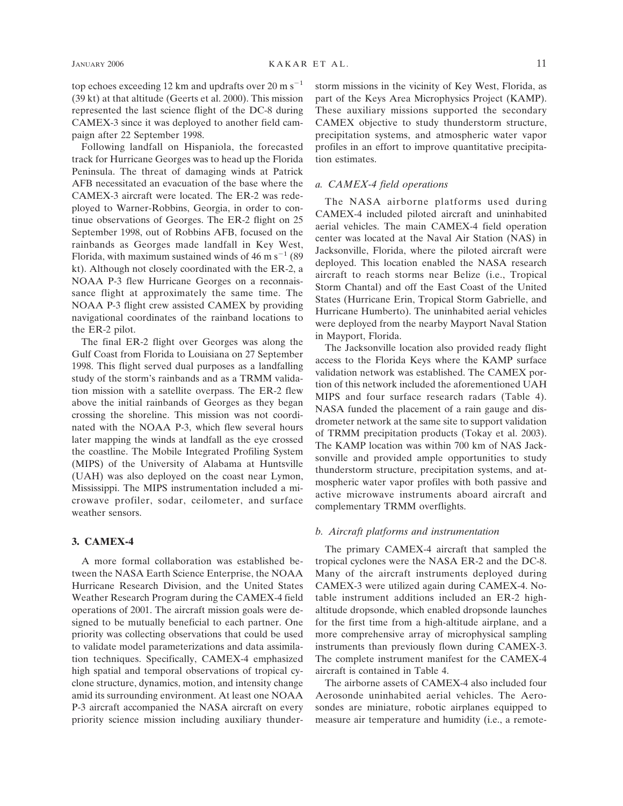top echoes exceeding 12 km and updrafts over 20 m s<sup>-1</sup> (39 kt) at that altitude (Geerts et al. 2000). This mission represented the last science flight of the DC-8 during CAMEX-3 since it was deployed to another field campaign after 22 September 1998.

Following landfall on Hispaniola, the forecasted track for Hurricane Georges was to head up the Florida Peninsula. The threat of damaging winds at Patrick AFB necessitated an evacuation of the base where the CAMEX-3 aircraft were located. The ER-2 was redeployed to Warner-Robbins, Georgia, in order to continue observations of Georges. The ER-2 flight on 25 September 1998, out of Robbins AFB, focused on the rainbands as Georges made landfall in Key West, Florida, with maximum sustained winds of 46 m  $s^{-1}$  (89) kt). Although not closely coordinated with the ER-2, a NOAA P-3 flew Hurricane Georges on a reconnaissance flight at approximately the same time. The NOAA P-3 flight crew assisted CAMEX by providing navigational coordinates of the rainband locations to the ER-2 pilot.

The final ER-2 flight over Georges was along the Gulf Coast from Florida to Louisiana on 27 September 1998. This flight served dual purposes as a landfalling study of the storm's rainbands and as a TRMM validation mission with a satellite overpass. The ER-2 flew above the initial rainbands of Georges as they began crossing the shoreline. This mission was not coordinated with the NOAA P-3, which flew several hours later mapping the winds at landfall as the eye crossed the coastline. The Mobile Integrated Profiling System (MIPS) of the University of Alabama at Huntsville (UAH) was also deployed on the coast near Lymon, Mississippi. The MIPS instrumentation included a microwave profiler, sodar, ceilometer, and surface weather sensors.

### **3. CAMEX-4**

A more formal collaboration was established between the NASA Earth Science Enterprise, the NOAA Hurricane Research Division, and the United States Weather Research Program during the CAMEX-4 field operations of 2001. The aircraft mission goals were designed to be mutually beneficial to each partner. One priority was collecting observations that could be used to validate model parameterizations and data assimilation techniques. Specifically, CAMEX-4 emphasized high spatial and temporal observations of tropical cyclone structure, dynamics, motion, and intensity change amid its surrounding environment. At least one NOAA P-3 aircraft accompanied the NASA aircraft on every priority science mission including auxiliary thunderstorm missions in the vicinity of Key West, Florida, as part of the Keys Area Microphysics Project (KAMP). These auxiliary missions supported the secondary CAMEX objective to study thunderstorm structure, precipitation systems, and atmospheric water vapor profiles in an effort to improve quantitative precipitation estimates.

### *a. CAMEX-4 field operations*

The NASA airborne platforms used during CAMEX-4 included piloted aircraft and uninhabited aerial vehicles. The main CAMEX-4 field operation center was located at the Naval Air Station (NAS) in Jacksonville, Florida, where the piloted aircraft were deployed. This location enabled the NASA research aircraft to reach storms near Belize (i.e., Tropical Storm Chantal) and off the East Coast of the United States (Hurricane Erin, Tropical Storm Gabrielle, and Hurricane Humberto). The uninhabited aerial vehicles were deployed from the nearby Mayport Naval Station in Mayport, Florida.

The Jacksonville location also provided ready flight access to the Florida Keys where the KAMP surface validation network was established. The CAMEX portion of this network included the aforementioned UAH MIPS and four surface research radars (Table 4). NASA funded the placement of a rain gauge and disdrometer network at the same site to support validation of TRMM precipitation products (Tokay et al. 2003). The KAMP location was within 700 km of NAS Jacksonville and provided ample opportunities to study thunderstorm structure, precipitation systems, and atmospheric water vapor profiles with both passive and active microwave instruments aboard aircraft and complementary TRMM overflights.

### *b. Aircraft platforms and instrumentation*

The primary CAMEX-4 aircraft that sampled the tropical cyclones were the NASA ER-2 and the DC-8. Many of the aircraft instruments deployed during CAMEX-3 were utilized again during CAMEX-4. Notable instrument additions included an ER-2 highaltitude dropsonde, which enabled dropsonde launches for the first time from a high-altitude airplane, and a more comprehensive array of microphysical sampling instruments than previously flown during CAMEX-3. The complete instrument manifest for the CAMEX-4 aircraft is contained in Table 4.

The airborne assets of CAMEX-4 also included four Aerosonde uninhabited aerial vehicles. The Aerosondes are miniature, robotic airplanes equipped to measure air temperature and humidity (i.e., a remote-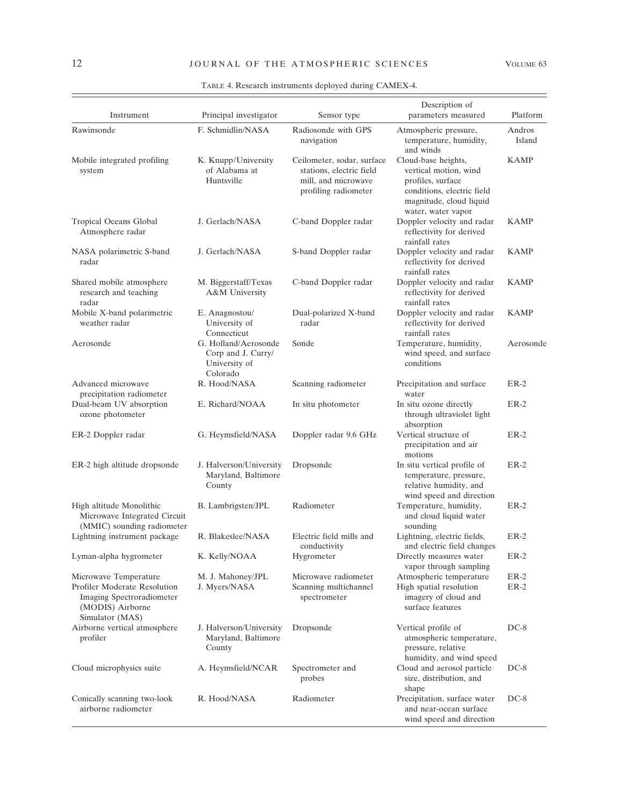| Instrument                                                                                       | Principal investigator                                                  | Sensor type                                                                                           | Description of<br>parameters measured                                                                                                                         | Platform         |
|--------------------------------------------------------------------------------------------------|-------------------------------------------------------------------------|-------------------------------------------------------------------------------------------------------|---------------------------------------------------------------------------------------------------------------------------------------------------------------|------------------|
| Rawinsonde                                                                                       | F. Schmidlin/NASA                                                       | Radiosonde with GPS<br>navigation                                                                     | Atmospheric pressure,<br>temperature, humidity,                                                                                                               | Andros<br>Island |
| Mobile integrated profiling<br>system                                                            | K. Knupp/University<br>of Alabama at<br>Huntsville                      | Ceilometer, sodar, surface<br>stations, electric field<br>mill, and microwave<br>profiling radiometer | and winds<br>Cloud-base heights,<br>vertical motion, wind<br>profiles, surface<br>conditions, electric field<br>magnitude, cloud liquid<br>water, water vapor | <b>KAMP</b>      |
| <b>Tropical Oceans Global</b><br>Atmosphere radar                                                | J. Gerlach/NASA                                                         | C-band Doppler radar                                                                                  | Doppler velocity and radar<br>reflectivity for derived<br>rainfall rates                                                                                      | <b>KAMP</b>      |
| NASA polarimetric S-band<br>radar                                                                | J. Gerlach/NASA                                                         | S-band Doppler radar                                                                                  | Doppler velocity and radar<br>reflectivity for derived<br>rainfall rates                                                                                      | <b>KAMP</b>      |
| Shared mobile atmosphere<br>research and teaching<br>radar                                       | M. Biggerstaff/Texas<br>A&M University                                  | C-band Doppler radar                                                                                  | Doppler velocity and radar<br>reflectivity for derived<br>rainfall rates                                                                                      | <b>KAMP</b>      |
| Mobile X-band polarimetric<br>weather radar                                                      | E. Anagnostou/<br>University of<br>Connecticut                          | Dual-polarized X-band<br>radar                                                                        | Doppler velocity and radar<br>reflectivity for derived<br>rainfall rates                                                                                      | <b>KAMP</b>      |
| Aerosonde                                                                                        | G. Holland/Aerosonde<br>Corp and J. Curry/<br>University of<br>Colorado | Sonde                                                                                                 | Temperature, humidity,<br>wind speed, and surface<br>conditions                                                                                               | Aerosonde        |
| Advanced microwave<br>precipitation radiometer                                                   | R. Hood/NASA                                                            | Scanning radiometer                                                                                   | Precipitation and surface<br>water                                                                                                                            | $ER-2$           |
| Dual-beam UV absorption<br>ozone photometer                                                      | E. Richard/NOAA                                                         | In situ photometer                                                                                    | In situ ozone directly<br>through ultraviolet light<br>absorption                                                                                             | $ER-2$           |
| ER-2 Doppler radar                                                                               | G. Heymsfield/NASA                                                      | Doppler radar 9.6 GHz                                                                                 | Vertical structure of<br>precipitation and air<br>motions                                                                                                     | $ER-2$           |
| ER-2 high altitude dropsonde                                                                     | J. Halverson/University<br>Maryland, Baltimore<br>County                | Dropsonde                                                                                             | In situ vertical profile of<br>temperature, pressure,<br>relative humidity, and<br>wind speed and direction                                                   | $ER-2$           |
| High altitude Monolithic<br>Microwave Integrated Circuit<br>(MMIC) sounding radiometer           | B. Lambrigsten/JPL                                                      | Radiometer                                                                                            | Temperature, humidity,<br>and cloud liquid water<br>sounding                                                                                                  | $ER-2$           |
| Lightning instrument package                                                                     | R. Blakeslee/NASA                                                       | Electric field mills and<br>conductivity                                                              | Lightning, electric fields,<br>and electric field changes                                                                                                     | $ER-2$           |
| Lyman-alpha hygrometer                                                                           | K. Kelly/NOAA                                                           | Hygrometer                                                                                            | Directly measures water<br>vapor through sampling                                                                                                             | $ER-2$           |
| Microwave Temperature                                                                            | M. J. Mahoney/JPL                                                       | Microwave radiometer                                                                                  | Atmospheric temperature                                                                                                                                       | $ER-2$           |
| Profiler Moderate Resolution<br>Imaging Spectroradiometer<br>(MODIS) Airborne<br>Simulator (MAS) | J. Myers/NASA                                                           | Scanning multichannel<br>spectrometer                                                                 | High spatial resolution<br>imagery of cloud and<br>surface features                                                                                           | $ER-2$           |
| Airborne vertical atmosphere<br>profiler                                                         | J. Halverson/University<br>Maryland, Baltimore<br>County                | Dropsonde                                                                                             | Vertical profile of<br>atmospheric temperature,<br>pressure, relative<br>humidity, and wind speed                                                             | $DC-8$           |
| Cloud microphysics suite                                                                         | A. Heymsfield/NCAR                                                      | Spectrometer and<br>probes                                                                            | Cloud and aerosol particle<br>size, distribution, and<br>shape                                                                                                | $DC-8$           |
| Conically scanning two-look<br>airborne radiometer                                               | R. Hood/NASA                                                            | Radiometer                                                                                            | Precipitation, surface water<br>and near-ocean surface<br>wind speed and direction                                                                            | $DC-8$           |

# TABLE 4. Research instruments deployed during CAMEX-4.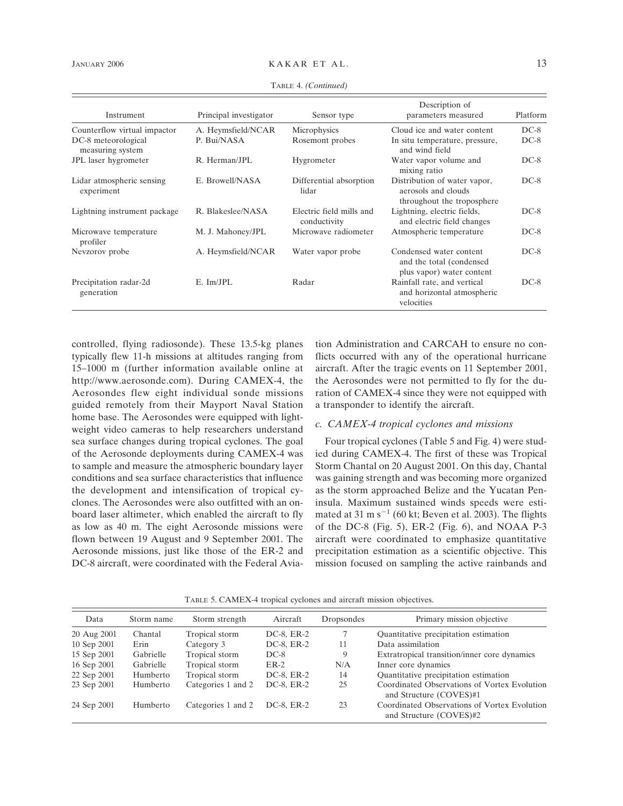| Instrument                              | Principal investigator | Sensor type                              | Description of<br>parameters measured                                             | Platform |
|-----------------------------------------|------------------------|------------------------------------------|-----------------------------------------------------------------------------------|----------|
|                                         |                        |                                          |                                                                                   |          |
| Counterflow virtual impactor            | A. Heymsfield/NCAR     | Microphysics                             | Cloud ice and water content                                                       | $DC-8$   |
| DC-8 meteorological<br>measuring system | P. Bui/NASA            | Rosemont probes                          | In situ temperature, pressure,<br>and wind field                                  | $DC-8$   |
| JPL laser hygrometer                    | R. Herman/JPL          | Hygrometer                               | Water vapor volume and<br>mixing ratio                                            | $DC-8$   |
| Lidar atmospheric sensing<br>experiment | E. Browell/NASA        | Differential absorption<br>lidar         | Distribution of water vapor,<br>aerosols and clouds<br>throughout the troposphere | $DC-8$   |
| Lightning instrument package            | R. Blakeslee/NASA      | Electric field mills and<br>conductivity | Lightning, electric fields,<br>and electric field changes                         | $DC-8$   |
| Microwave temperature<br>profiler       | M. J. Mahoney/JPL      | Microwave radiometer                     | Atmospheric temperature                                                           | $DC-8$   |
| Nevzorov probe                          | A. Heymsfield/NCAR     | Water vapor probe                        | Condensed water content<br>and the total (condensed<br>plus vapor) water content  | $DC-8$   |
| Precipitation radar-2d<br>generation    | $E.$ Im/JPL            | Radar                                    | Rainfall rate, and vertical<br>and horizontal atmospheric<br>velocities           | $DC-8$   |

TABLE 4. *(Continued)*

controlled, flying radiosonde). These 13.5-kg planes typically flew 11-h missions at altitudes ranging from 15–1000 m (further information available online at http://www.aerosonde.com). During CAMEX-4, the Aerosondes flew eight individual sonde missions guided remotely from their Mayport Naval Station home base. The Aerosondes were equipped with lightweight video cameras to help researchers understand sea surface changes during tropical cyclones. The goal of the Aerosonde deployments during CAMEX-4 was to sample and measure the atmospheric boundary layer conditions and sea surface characteristics that influence the development and intensification of tropical cyclones. The Aerosondes were also outfitted with an onboard laser altimeter, which enabled the aircraft to fly as low as 40 m. The eight Aerosonde missions were flown between 19 August and 9 September 2001. The Aerosonde missions, just like those of the ER-2 and DC-8 aircraft, were coordinated with the Federal Aviation Administration and CARCAH to ensure no conflicts occurred with any of the operational hurricane aircraft. After the tragic events on 11 September 2001, the Aerosondes were not permitted to fly for the duration of CAMEX-4 since they were not equipped with a transponder to identify the aircraft.

### *c. CAMEX-4 tropical cyclones and missions*

Four tropical cyclones (Table 5 and Fig. 4) were studied during CAMEX-4. The first of these was Tropical Storm Chantal on 20 August 2001. On this day, Chantal was gaining strength and was becoming more organized as the storm approached Belize and the Yucatan Peninsula. Maximum sustained winds speeds were estimated at 31 m  $s^{-1}$  (60 kt; Beven et al. 2003). The flights of the DC-8 (Fig. 5), ER-2 (Fig. 6), and NOAA P-3 aircraft were coordinated to emphasize quantitative precipitation estimation as a scientific objective. This mission focused on sampling the active rainbands and

| Data        | Storm name | Storm strength     | Aircraft   | Dropsondes | Primary mission objective                                               |
|-------------|------------|--------------------|------------|------------|-------------------------------------------------------------------------|
| 20 Aug 2001 | Chantal    | Tropical storm     | DC-8, ER-2 |            | Quantitative precipitation estimation                                   |
| 10 Sep 2001 | Erin       | Category 3         | DC-8, ER-2 | 11         | Data assimilation                                                       |
| 15 Sep 2001 | Gabrielle  | Tropical storm     | $DC-8$     | 9          | Extratropical transition/inner core dynamics                            |
| 16 Sep 2001 | Gabrielle  | Tropical storm     | $ER-2$     | N/A        | Inner core dynamics                                                     |
| 22 Sep 2001 | Humberto   | Tropical storm     | DC-8, ER-2 | 14         | Quantitative precipitation estimation                                   |
| 23 Sep 2001 | Humberto   | Categories 1 and 2 | DC-8, ER-2 | 25         | Coordinated Observations of Vortex Evolution<br>and Structure (COVES)#1 |
| 24 Sep 2001 | Humberto   | Categories 1 and 2 | DC-8, ER-2 | 23         | Coordinated Observations of Vortex Evolution<br>and Structure (COVES)#2 |

TABLE 5. CAMEX-4 tropical cyclones and aircraft mission objectives.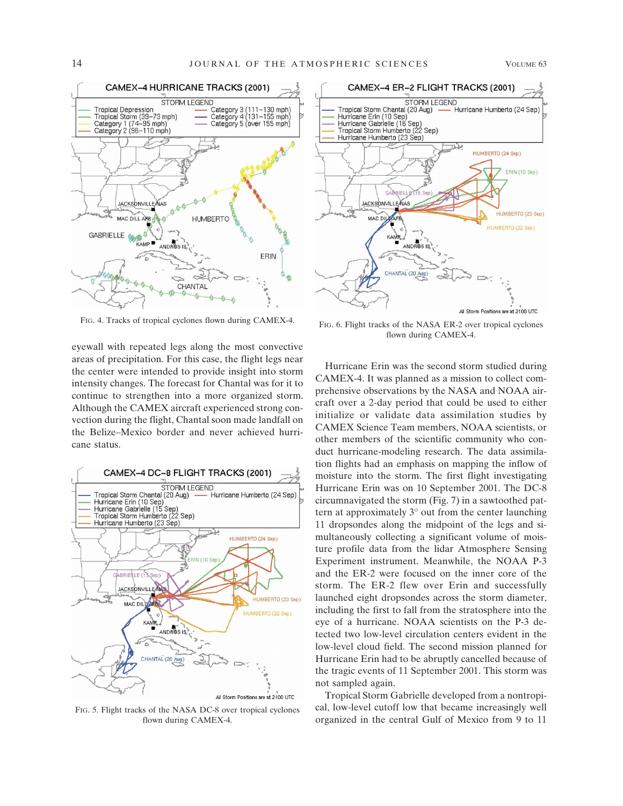

eyewall with repeated legs along the most convective areas of precipitation. For this case, the flight legs near the center were intended to provide insight into storm intensity changes. The forecast for Chantal was for it to continue to strengthen into a more organized storm. Although the CAMEX aircraft experienced strong convection during the flight, Chantal soon made landfall on the Belize–Mexico border and never achieved hurricane status.



FIG. 5. Flight tracks of the NASA DC-8 over tropical cyclones flown during CAMEX-4.



FIG. 4. Tracks of tropical cyclones flown during CAMEX-4. FIG. 6. Flight tracks of the NASA ER-2 over tropical cyclones flown during CAMEX-4.

Hurricane Erin was the second storm studied during CAMEX-4. It was planned as a mission to collect comprehensive observations by the NASA and NOAA aircraft over a 2-day period that could be used to either initialize or validate data assimilation studies by CAMEX Science Team members, NOAA scientists, or other members of the scientific community who conduct hurricane-modeling research. The data assimilation flights had an emphasis on mapping the inflow of moisture into the storm. The first flight investigating Hurricane Erin was on 10 September 2001. The DC-8 circumnavigated the storm (Fig. 7) in a sawtoothed pattern at approximately 3° out from the center launching 11 dropsondes along the midpoint of the legs and simultaneously collecting a significant volume of moisture profile data from the lidar Atmosphere Sensing Experiment instrument. Meanwhile, the NOAA P-3 and the ER-2 were focused on the inner core of the storm. The ER-2 flew over Erin and successfully launched eight dropsondes across the storm diameter, including the first to fall from the stratosphere into the eye of a hurricane. NOAA scientists on the P-3 detected two low-level circulation centers evident in the low-level cloud field. The second mission planned for Hurricane Erin had to be abruptly cancelled because of the tragic events of 11 September 2001. This storm was not sampled again.

Tropical Storm Gabrielle developed from a nontropical, low-level cutoff low that became increasingly well organized in the central Gulf of Mexico from 9 to 11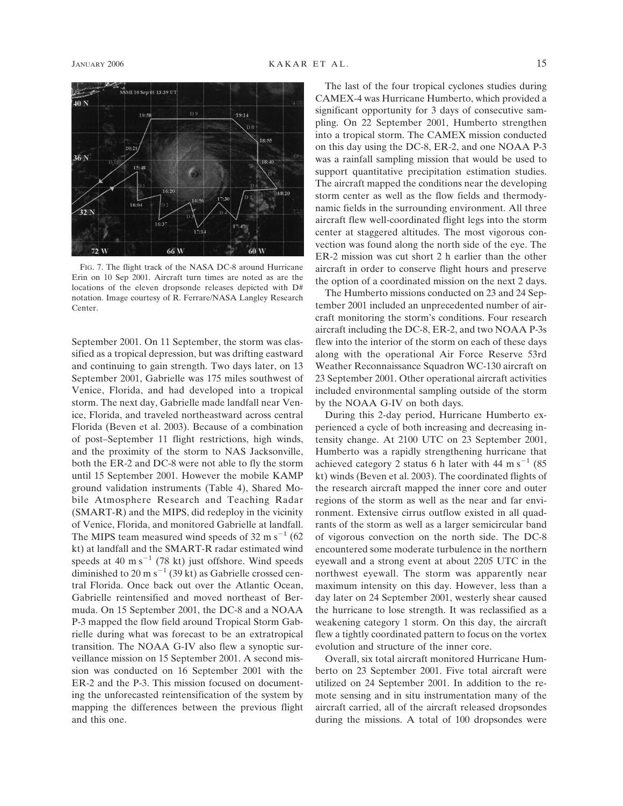

FIG. 7. The flight track of the NASA DC-8 around Hurricane Erin on 10 Sep 2001. Aircraft turn times are noted as are the locations of the eleven dropsonde releases depicted with D# notation. Image courtesy of R. Ferrare/NASA Langley Research Center.

September 2001. On 11 September, the storm was classified as a tropical depression, but was drifting eastward and continuing to gain strength. Two days later, on 13 September 2001, Gabrielle was 175 miles southwest of Venice, Florida, and had developed into a tropical storm. The next day, Gabrielle made landfall near Venice, Florida, and traveled northeastward across central Florida (Beven et al. 2003). Because of a combination of post–September 11 flight restrictions, high winds, and the proximity of the storm to NAS Jacksonville, both the ER-2 and DC-8 were not able to fly the storm until 15 September 2001. However the mobile KAMP ground validation instruments (Table 4), Shared Mobile Atmosphere Research and Teaching Radar (SMART-R) and the MIPS, did redeploy in the vicinity of Venice, Florida, and monitored Gabrielle at landfall. The MIPS team measured wind speeds of  $32 \text{ m s}^{-1}$  (62) kt) at landfall and the SMART-R radar estimated wind speeds at 40 m s<sup>-1</sup> (78 kt) just offshore. Wind speeds diminished to 20 m s<sup>-1</sup> (39 kt) as Gabrielle crossed central Florida. Once back out over the Atlantic Ocean, Gabrielle reintensified and moved northeast of Bermuda. On 15 September 2001, the DC-8 and a NOAA P-3 mapped the flow field around Tropical Storm Gabrielle during what was forecast to be an extratropical transition. The NOAA G-IV also flew a synoptic surveillance mission on 15 September 2001. A second mission was conducted on 16 September 2001 with the ER-2 and the P-3. This mission focused on documenting the unforecasted reintensification of the system by mapping the differences between the previous flight and this one.

The last of the four tropical cyclones studies during CAMEX-4 was Hurricane Humberto, which provided a significant opportunity for 3 days of consecutive sampling. On 22 September 2001, Humberto strengthen into a tropical storm. The CAMEX mission conducted on this day using the DC-8, ER-2, and one NOAA P-3 was a rainfall sampling mission that would be used to support quantitative precipitation estimation studies. The aircraft mapped the conditions near the developing storm center as well as the flow fields and thermodynamic fields in the surrounding environment. All three aircraft flew well-coordinated flight legs into the storm center at staggered altitudes. The most vigorous convection was found along the north side of the eye. The ER-2 mission was cut short 2 h earlier than the other aircraft in order to conserve flight hours and preserve the option of a coordinated mission on the next 2 days.

The Humberto missions conducted on 23 and 24 September 2001 included an unprecedented number of aircraft monitoring the storm's conditions. Four research aircraft including the DC-8, ER-2, and two NOAA P-3s flew into the interior of the storm on each of these days along with the operational Air Force Reserve 53rd Weather Reconnaissance Squadron WC-130 aircraft on 23 September 2001. Other operational aircraft activities included environmental sampling outside of the storm by the NOAA G-IV on both days.

During this 2-day period, Hurricane Humberto experienced a cycle of both increasing and decreasing intensity change. At 2100 UTC on 23 September 2001, Humberto was a rapidly strengthening hurricane that achieved category 2 status 6 h later with 44 m  $s^{-1}$  (85) kt) winds (Beven et al. 2003). The coordinated flights of the research aircraft mapped the inner core and outer regions of the storm as well as the near and far environment. Extensive cirrus outflow existed in all quadrants of the storm as well as a larger semicircular band of vigorous convection on the north side. The DC-8 encountered some moderate turbulence in the northern eyewall and a strong event at about 2205 UTC in the northwest eyewall. The storm was apparently near maximum intensity on this day. However, less than a day later on 24 September 2001, westerly shear caused the hurricane to lose strength. It was reclassified as a weakening category 1 storm. On this day, the aircraft flew a tightly coordinated pattern to focus on the vortex evolution and structure of the inner core.

Overall, six total aircraft monitored Hurricane Humberto on 23 September 2001. Five total aircraft were utilized on 24 September 2001. In addition to the remote sensing and in situ instrumentation many of the aircraft carried, all of the aircraft released dropsondes during the missions. A total of 100 dropsondes were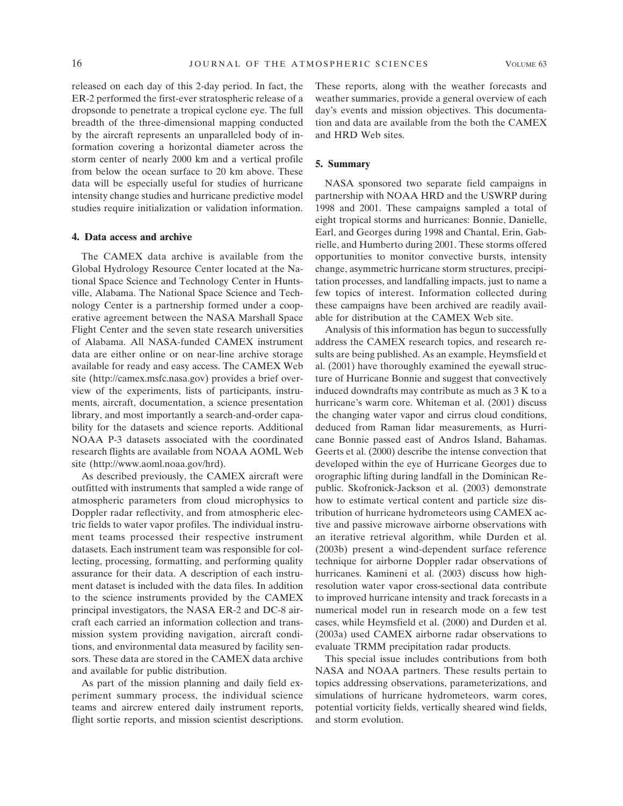released on each day of this 2-day period. In fact, the ER-2 performed the first-ever stratospheric release of a dropsonde to penetrate a tropical cyclone eye. The full breadth of the three-dimensional mapping conducted by the aircraft represents an unparalleled body of information covering a horizontal diameter across the storm center of nearly 2000 km and a vertical profile from below the ocean surface to 20 km above. These data will be especially useful for studies of hurricane intensity change studies and hurricane predictive model studies require initialization or validation information.

#### **4. Data access and archive**

The CAMEX data archive is available from the Global Hydrology Resource Center located at the National Space Science and Technology Center in Huntsville, Alabama. The National Space Science and Technology Center is a partnership formed under a cooperative agreement between the NASA Marshall Space Flight Center and the seven state research universities of Alabama. All NASA-funded CAMEX instrument data are either online or on near-line archive storage available for ready and easy access. The CAMEX Web site (http://camex.msfc.nasa.gov) provides a brief overview of the experiments, lists of participants, instruments, aircraft, documentation, a science presentation library, and most importantly a search-and-order capability for the datasets and science reports. Additional NOAA P-3 datasets associated with the coordinated research flights are available from NOAA AOML Web site (http://www.aoml.noaa.gov/hrd).

As described previously, the CAMEX aircraft were outfitted with instruments that sampled a wide range of atmospheric parameters from cloud microphysics to Doppler radar reflectivity, and from atmospheric electric fields to water vapor profiles. The individual instrument teams processed their respective instrument datasets. Each instrument team was responsible for collecting, processing, formatting, and performing quality assurance for their data. A description of each instrument dataset is included with the data files. In addition to the science instruments provided by the CAMEX principal investigators, the NASA ER-2 and DC-8 aircraft each carried an information collection and transmission system providing navigation, aircraft conditions, and environmental data measured by facility sensors. These data are stored in the CAMEX data archive and available for public distribution.

As part of the mission planning and daily field experiment summary process, the individual science teams and aircrew entered daily instrument reports, flight sortie reports, and mission scientist descriptions.

These reports, along with the weather forecasts and weather summaries, provide a general overview of each day's events and mission objectives. This documentation and data are available from the both the CAMEX and HRD Web sites.

### **5. Summary**

NASA sponsored two separate field campaigns in partnership with NOAA HRD and the USWRP during 1998 and 2001. These campaigns sampled a total of eight tropical storms and hurricanes: Bonnie, Danielle, Earl, and Georges during 1998 and Chantal, Erin, Gabrielle, and Humberto during 2001. These storms offered opportunities to monitor convective bursts, intensity change, asymmetric hurricane storm structures, precipitation processes, and landfalling impacts, just to name a few topics of interest. Information collected during these campaigns have been archived are readily available for distribution at the CAMEX Web site.

Analysis of this information has begun to successfully address the CAMEX research topics, and research results are being published. As an example, Heymsfield et al. (2001) have thoroughly examined the eyewall structure of Hurricane Bonnie and suggest that convectively induced downdrafts may contribute as much as 3 K to a hurricane's warm core. Whiteman et al. (2001) discuss the changing water vapor and cirrus cloud conditions, deduced from Raman lidar measurements, as Hurricane Bonnie passed east of Andros Island, Bahamas. Geerts et al. (2000) describe the intense convection that developed within the eye of Hurricane Georges due to orographic lifting during landfall in the Dominican Republic. Skofronick-Jackson et al. (2003) demonstrate how to estimate vertical content and particle size distribution of hurricane hydrometeors using CAMEX active and passive microwave airborne observations with an iterative retrieval algorithm, while Durden et al. (2003b) present a wind-dependent surface reference technique for airborne Doppler radar observations of hurricanes. Kamineni et al. (2003) discuss how highresolution water vapor cross-sectional data contribute to improved hurricane intensity and track forecasts in a numerical model run in research mode on a few test cases, while Heymsfield et al. (2000) and Durden et al. (2003a) used CAMEX airborne radar observations to evaluate TRMM precipitation radar products.

This special issue includes contributions from both NASA and NOAA partners. These results pertain to topics addressing observations, parameterizations, and simulations of hurricane hydrometeors, warm cores, potential vorticity fields, vertically sheared wind fields, and storm evolution.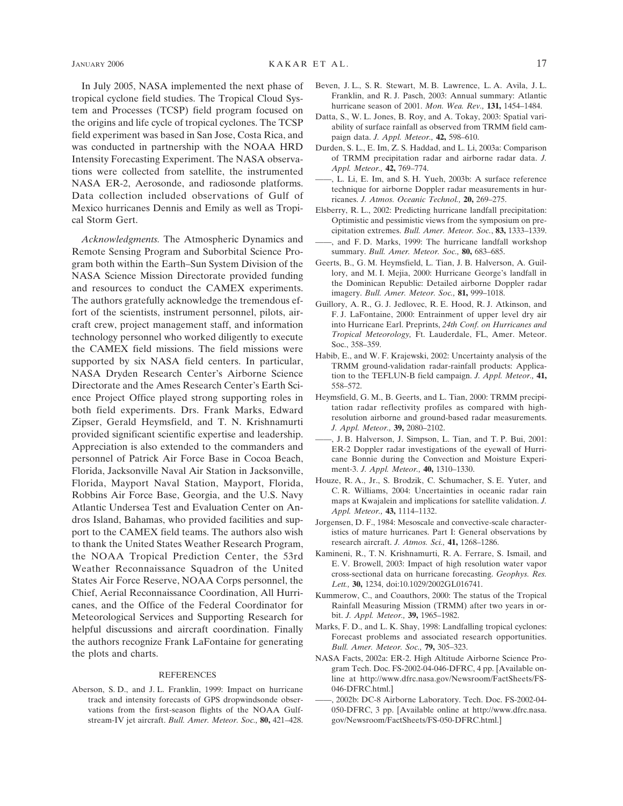In July 2005, NASA implemented the next phase of tropical cyclone field studies. The Tropical Cloud System and Processes (TCSP) field program focused on the origins and life cycle of tropical cyclones. The TCSP field experiment was based in San Jose, Costa Rica, and was conducted in partnership with the NOAA HRD Intensity Forecasting Experiment. The NASA observations were collected from satellite, the instrumented NASA ER-2, Aerosonde, and radiosonde platforms. Data collection included observations of Gulf of Mexico hurricanes Dennis and Emily as well as Tropical Storm Gert.

*Acknowledgments.* The Atmospheric Dynamics and Remote Sensing Program and Suborbital Science Program both within the Earth–Sun System Division of the NASA Science Mission Directorate provided funding and resources to conduct the CAMEX experiments. The authors gratefully acknowledge the tremendous effort of the scientists, instrument personnel, pilots, aircraft crew, project management staff, and information technology personnel who worked diligently to execute the CAMEX field missions. The field missions were supported by six NASA field centers. In particular, NASA Dryden Research Center's Airborne Science Directorate and the Ames Research Center's Earth Science Project Office played strong supporting roles in both field experiments. Drs. Frank Marks, Edward Zipser, Gerald Heymsfield, and T. N. Krishnamurti provided significant scientific expertise and leadership. Appreciation is also extended to the commanders and personnel of Patrick Air Force Base in Cocoa Beach, Florida, Jacksonville Naval Air Station in Jacksonville, Florida, Mayport Naval Station, Mayport, Florida, Robbins Air Force Base, Georgia, and the U.S. Navy Atlantic Undersea Test and Evaluation Center on Andros Island, Bahamas, who provided facilities and support to the CAMEX field teams. The authors also wish to thank the United States Weather Research Program, the NOAA Tropical Prediction Center, the 53rd Weather Reconnaissance Squadron of the United States Air Force Reserve, NOAA Corps personnel, the Chief, Aerial Reconnaissance Coordination, All Hurricanes, and the Office of the Federal Coordinator for Meteorological Services and Supporting Research for helpful discussions and aircraft coordination. Finally the authors recognize Frank LaFontaine for generating the plots and charts.

#### REFERENCES

Aberson, S. D., and J. L. Franklin, 1999: Impact on hurricane track and intensity forecasts of GPS dropwindsonde observations from the first-season flights of the NOAA Gulfstream-IV jet aircraft. *Bull. Amer. Meteor. Soc.,* **80,** 421–428.

- Beven, J. L., S. R. Stewart, M. B. Lawrence, L. A. Avila, J. L. Franklin, and R. J. Pasch, 2003: Annual summary: Atlantic hurricane season of 2001. *Mon. Wea. Rev.,* **131,** 1454–1484.
- Datta, S., W. L. Jones, B. Roy, and A. Tokay, 2003: Spatial variability of surface rainfall as observed from TRMM field campaign data. *J. Appl. Meteor.,* **42,** 598–610.
- Durden, S. L., E. Im, Z. S. Haddad, and L. Li, 2003a: Comparison of TRMM precipitation radar and airborne radar data. *J. Appl. Meteor.,* **42,** 769–774.
- ——, L. Li, E. Im, and S. H. Yueh, 2003b: A surface reference technique for airborne Doppler radar measurements in hurricanes. *J. Atmos. Oceanic Technol.,* **20,** 269–275.
- Elsberry, R. L., 2002: Predicting hurricane landfall precipitation: Optimistic and pessimistic views from the symposium on precipitation extremes. *Bull. Amer. Meteor. Soc.*, **83,** 1333–1339.
- ——, and F. D. Marks, 1999: The hurricane landfall workshop summary. *Bull. Amer. Meteor. Soc.,* **80,** 683–685.
- Geerts, B., G. M. Heymsfield, L. Tian, J. B. Halverson, A. Guillory, and M. I. Mejia, 2000: Hurricane George's landfall in the Dominican Republic: Detailed airborne Doppler radar imagery. *Bull. Amer. Meteor. Soc.,* **81,** 999–1018.
- Guillory, A. R., G. J. Jedlovec, R. E. Hood, R. J. Atkinson, and F. J. LaFontaine, 2000: Entrainment of upper level dry air into Hurricane Earl. Preprints, *24th Conf. on Hurricanes and Tropical Meteorology,* Ft. Lauderdale, FL, Amer. Meteor. Soc., 358–359.
- Habib, E., and W. F. Krajewski, 2002: Uncertainty analysis of the TRMM ground-validation radar-rainfall products: Application to the TEFLUN-B field campaign. *J. Appl. Meteor.,* **41,** 558–572.
- Heymsfield, G. M., B. Geerts, and L. Tian, 2000: TRMM precipitation radar reflectivity profiles as compared with highresolution airborne and ground-based radar measurements. *J. Appl. Meteor.,* **39,** 2080–2102.
- ——, J. B. Halverson, J. Simpson, L. Tian, and T. P. Bui, 2001: ER-2 Doppler radar investigations of the eyewall of Hurricane Bonnie during the Convection and Moisture Experiment-3. *J. Appl. Meteor.,* **40,** 1310–1330.
- Houze, R. A., Jr., S. Brodzik, C. Schumacher, S. E. Yuter, and C. R. Williams, 2004: Uncertainties in oceanic radar rain maps at Kwajalein and implications for satellite validation. *J. Appl. Meteor.,* **43,** 1114–1132.
- Jorgensen, D. F., 1984: Mesoscale and convective-scale characteristics of mature hurricanes. Part I: General observations by research aircraft. *J. Atmos. Sci.,* **41,** 1268–1286.
- Kamineni, R., T. N. Krishnamurti, R. A. Ferrare, S. Ismail, and E. V. Browell, 2003: Impact of high resolution water vapor cross-sectional data on hurricane forecasting. *Geophys. Res. Lett.,* **30,** 1234, doi:10.1029/2002GL016741.
- Kummerow, C., and Coauthors, 2000: The status of the Tropical Rainfall Measuring Mission (TRMM) after two years in orbit. *J. Appl. Meteor.,* **39,** 1965–1982.
- Marks, F. D., and L. K. Shay, 1998: Landfalling tropical cyclones: Forecast problems and associated research opportunities. *Bull. Amer. Meteor. Soc.,* **79,** 305–323.
- NASA Facts, 2002a: ER-2. High Altitude Airborne Science Program Tech. Doc. FS-2002-04-046-DFRC, 4 pp. [Available online at http://www.dfrc.nasa.gov/Newsroom/FactSheets/FS-046-DFRC.html.]
- ——, 2002b: DC-8 Airborne Laboratory. Tech. Doc. FS-2002-04- 050-DFRC, 3 pp. [Available online at http://www.dfrc.nasa. gov/Newsroom/FactSheets/FS-050-DFRC.html.]